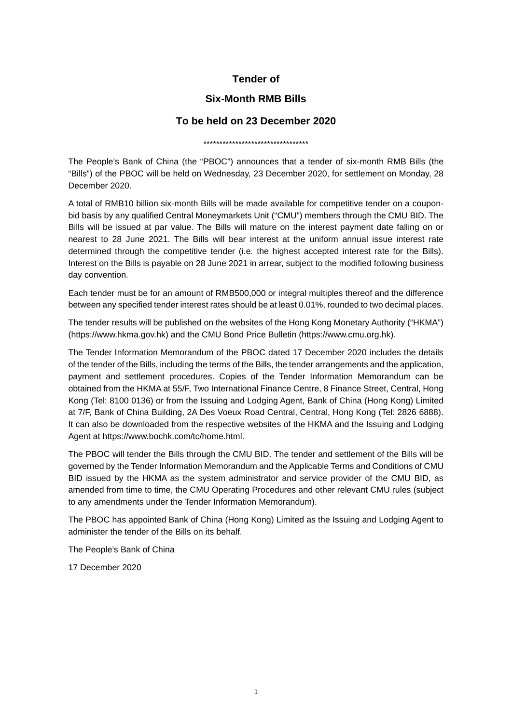## **Tender of**

## **Six-Month RMB Bills**

## **To be held on 23 December 2020**

\*\*\*\*\*\*\*\*\*\*\*\*\*\*\*\*\*\*\*\*\*\*\*\*\*\*\*\*\*\*\*\*\*

The People's Bank of China (the "PBOC") announces that a tender of six-month RMB Bills (the "Bills") of the PBOC will be held on Wednesday, 23 December 2020, for settlement on Monday, 28 December 2020.

A total of RMB10 billion six-month Bills will be made available for competitive tender on a couponbid basis by any qualified Central Moneymarkets Unit ("CMU") members through the CMU BID. The Bills will be issued at par value. The Bills will mature on the interest payment date falling on or nearest to 28 June 2021. The Bills will bear interest at the uniform annual issue interest rate determined through the competitive tender (i.e. the highest accepted interest rate for the Bills). Interest on the Bills is payable on 28 June 2021 in arrear, subject to the modified following business day convention.

Each tender must be for an amount of RMB500,000 or integral multiples thereof and the difference between any specified tender interest rates should be at least 0.01%, rounded to two decimal places.

The tender results will be published on the websites of the Hong Kong Monetary Authority ("HKMA") [\(https://www.hkma.gov.hk\)](https://www.hkma.gov.hk/) and the CMU Bond Price Bulletin [\(https://www.cmu.org.hk\)](http://www.cmu.org.hk/).

The Tender Information Memorandum of the PBOC dated 17 December 2020 includes the details of the tender of the Bills, including the terms of the Bills, the tender arrangements and the application, payment and settlement procedures. Copies of the Tender Information Memorandum can be obtained from the HKMA at 55/F, Two International Finance Centre, 8 Finance Street, Central, Hong Kong (Tel: 8100 0136) or from the Issuing and Lodging Agent, Bank of China (Hong Kong) Limited at 7/F, Bank of China Building, 2A Des Voeux Road Central, Central, Hong Kong (Tel: 2826 6888). It can also be downloaded from the respective websites of the HKMA and the Issuing and Lodging Agent at https://www.bochk.com/tc/home.html.

The PBOC will tender the Bills through the CMU BID. The tender and settlement of the Bills will be governed by the Tender Information Memorandum and the Applicable Terms and Conditions of CMU BID issued by the HKMA as the system administrator and service provider of the CMU BID, as amended from time to time, the CMU Operating Procedures and other relevant CMU rules (subject to any amendments under the Tender Information Memorandum).

The PBOC has appointed Bank of China (Hong Kong) Limited as the Issuing and Lodging Agent to administer the tender of the Bills on its behalf.

The People's Bank of China

17 December 2020